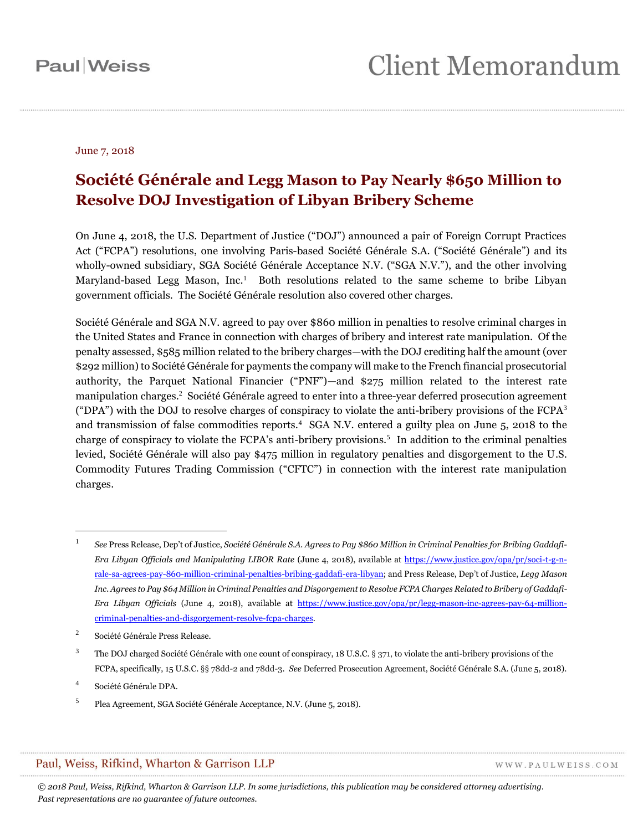#### June 7, 2018

### **Société Générale and Legg Mason to Pay Nearly \$650 Million to Resolve DOJ Investigation of Libyan Bribery Scheme**

On June 4, 2018, the U.S. Department of Justice ("DOJ") announced a pair of Foreign Corrupt Practices Act ("FCPA") resolutions, one involving Paris-based Société Générale S.A. ("Société Générale") and its wholly-owned subsidiary, SGA Société Générale Acceptance N.V. ("SGA N.V."), and the other involving Maryland-based Legg Mason, Inc.<sup>1</sup> Both resolutions related to the same scheme to bribe Libyan government officials. The Société Générale resolution also covered other charges.

Société Générale and SGA N.V. agreed to pay over \$860 million in penalties to resolve criminal charges in the United States and France in connection with charges of bribery and interest rate manipulation. Of the penalty assessed, \$585 million related to the bribery charges—with the DOJ crediting half the amount (over \$292 million) to Société Générale for payments the company will make to the French financial prosecutorial authority, the Parquet National Financier ("PNF")—and \$275 million related to the interest rate manipulation charges. <sup>2</sup> Société Générale agreed to enter into a three-year deferred prosecution agreement ("DPA") with the DOJ to resolve charges of conspiracy to violate the anti-bribery provisions of the FCP $A<sup>3</sup>$ and transmission of false commodities reports.<sup>4</sup> SGA N.V. entered a guilty plea on June 5, 2018 to the charge of conspiracy to violate the FCPA's anti-bribery provisions.<sup>5</sup> In addition to the criminal penalties levied, Société Générale will also pay \$475 million in regulatory penalties and disgorgement to the U.S. Commodity Futures Trading Commission ("CFTC") in connection with the interest rate manipulation charges.

 $\overline{a}$ 

#### Paul, Weiss, Rifkind, Wharton & Garrison LLP

WWW.PAULWEISS.COM

<sup>1</sup> *See* Press Release, Dep't of Justice, *Société Générale S.A. Agrees to Pay \$860 Million in Criminal Penalties for Bribing Gaddafi-Era Libyan Officials and Manipulating LIBOR Rate* (June 4, 2018), available at [https://www.justice.gov/opa/pr/soci-t-g-n](https://www.justice.gov/opa/pr/soci-t-g-n-rale-sa-agrees-pay-860-million-criminal-penalties-bribing-gaddafi-era-libyan)[rale-sa-agrees-pay-860-million-criminal-penalties-bribing-gaddafi-era-libyan](https://www.justice.gov/opa/pr/soci-t-g-n-rale-sa-agrees-pay-860-million-criminal-penalties-bribing-gaddafi-era-libyan); and Press Release, Dep't of Justice, *Legg Mason Inc. Agrees to Pay \$64 Million in Criminal Penalties and Disgorgement to Resolve FCPA Charges Related to Bribery of Gaddafi-Era Libyan Officials* (June 4, 2018), available at [https://www.justice.gov/opa/pr/legg-mason-inc-agrees-pay-64-million](https://www.justice.gov/opa/pr/legg-mason-inc-agrees-pay-64-million-criminal-penalties-and-disgorgement-resolve-fcpa-charges)[criminal-penalties-and-disgorgement-resolve-fcpa-charges.](https://www.justice.gov/opa/pr/legg-mason-inc-agrees-pay-64-million-criminal-penalties-and-disgorgement-resolve-fcpa-charges)

 $\overline{2}$ Société Générale Press Release.

<sup>&</sup>lt;sup>3</sup> The DOJ charged Société Générale with one count of conspiracy, 18 U.S.C. § 371, to violate the anti-bribery provisions of the FCPA, specifically, 15 U.S.C. §§ 78dd-2 and 78dd-3. *See* Deferred Prosecution Agreement, Société Générale S.A. (June 5, 2018).

<sup>4</sup> Société Générale DPA.

<sup>5</sup> Plea Agreement, SGA Société Générale Acceptance, N.V. (June 5, 2018).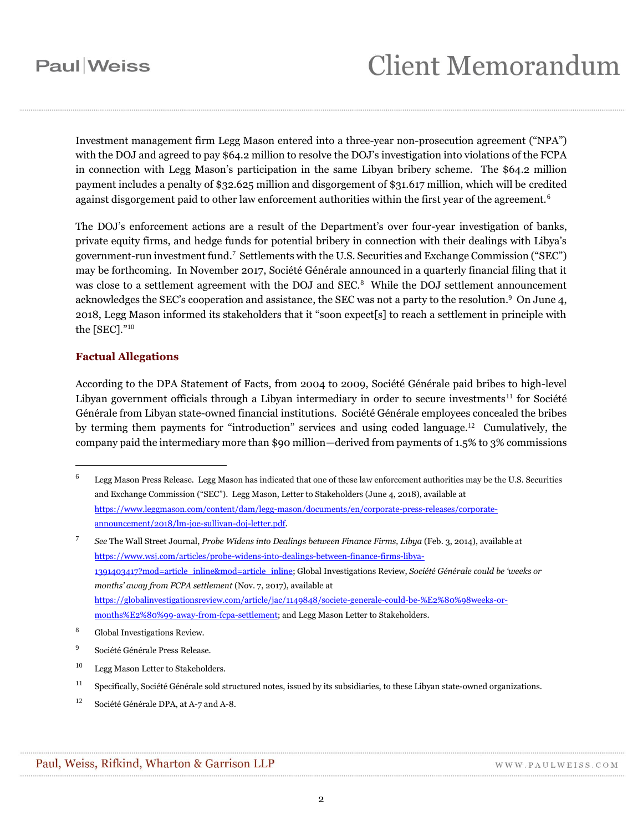Investment management firm Legg Mason entered into a three-year non-prosecution agreement ("NPA") with the DOJ and agreed to pay \$64.2 million to resolve the DOJ's investigation into violations of the FCPA in connection with Legg Mason's participation in the same Libyan bribery scheme. The \$64.2 million payment includes a penalty of \$32.625 million and disgorgement of \$31.617 million, which will be credited against disgorgement paid to other law enforcement authorities within the first year of the agreement.<sup>6</sup>

The DOJ's enforcement actions are a result of the Department's over four-year investigation of banks, private equity firms, and hedge funds for potential bribery in connection with their dealings with Libya's government-run investment fund.<sup>7</sup> Settlements with the U.S. Securities and Exchange Commission ("SEC") may be forthcoming. In November 2017, Société Générale announced in a quarterly financial filing that it was close to a settlement agreement with the DOJ and SEC.<sup>8</sup> While the DOJ settlement announcement acknowledges the SEC's cooperation and assistance, the SEC was not a party to the resolution.<sup>9</sup> On June 4, 2018, Legg Mason informed its stakeholders that it "soon expect[s] to reach a settlement in principle with the [SEC]."<sup>10</sup>

#### **Factual Allegations**

 $\overline{a}$ 

According to the DPA Statement of Facts, from 2004 to 2009, Société Générale paid bribes to high-level Libyan government officials through a Libyan intermediary in order to secure investments<sup>11</sup> for Société Générale from Libyan state-owned financial institutions. Société Générale employees concealed the bribes by terming them payments for "introduction" services and using coded language.<sup>12</sup> Cumulatively, the company paid the intermediary more than \$90 million—derived from payments of 1.5% to 3% commissions

<sup>6</sup> Legg Mason Press Release*.* Legg Mason has indicated that one of these law enforcement authorities may be the U.S. Securities and Exchange Commission ("SEC"). Legg Mason, Letter to Stakeholders (June 4, 2018), available at [https://www.leggmason.com/content/dam/legg-mason/documents/en/corporate-press-releases/corporate](https://www.leggmason.com/content/dam/legg-mason/documents/en/corporate-press-releases/corporate-announcement/2018/lm-joe-sullivan-doj-letter.pdf)[announcement/2018/lm-joe-sullivan-doj-letter.pdf.](https://www.leggmason.com/content/dam/legg-mason/documents/en/corporate-press-releases/corporate-announcement/2018/lm-joe-sullivan-doj-letter.pdf)

<sup>7</sup> *See* The Wall Street Journal, *Probe Widens into Dealings between Finance Firms, Libya* (Feb. 3, 2014), available at [https://www.wsj.com/articles/probe-widens-into-dealings-between-finance-firms-libya-](https://www.wsj.com/articles/probe-widens-into-dealings-between-finance-firms-libya-1391403417?mod=article_inline&mod=article_inline)[1391403417?mod=article\\_inline&mod=article\\_inline;](https://www.wsj.com/articles/probe-widens-into-dealings-between-finance-firms-libya-1391403417?mod=article_inline&mod=article_inline) Global Investigations Review, *Société Générale could be 'weeks or months' away from FCPA settlement* (Nov. 7, 2017), available at [https://globalinvestigationsreview.com/article/jac/1149848/societe-generale-could-be-%E2%80%98weeks-or](https://globalinvestigationsreview.com/article/jac/1149848/societe-generale-could-be-%E2%80%98weeks-or-months%E2%80%99-away-from-fcpa-settlement)[months%E2%80%99-away-from-fcpa-settlement;](https://globalinvestigationsreview.com/article/jac/1149848/societe-generale-could-be-%E2%80%98weeks-or-months%E2%80%99-away-from-fcpa-settlement) and Legg Mason Letter to Stakeholders.

<sup>8</sup> Global Investigations Review.

<sup>9</sup> Société Générale Press Release.

<sup>10</sup> Legg Mason Letter to Stakeholders.

<sup>&</sup>lt;sup>11</sup> Specifically, Société Générale sold structured notes, issued by its subsidiaries, to these Libyan state-owned organizations.

<sup>12</sup> Société Générale DPA, at A-7 and A-8.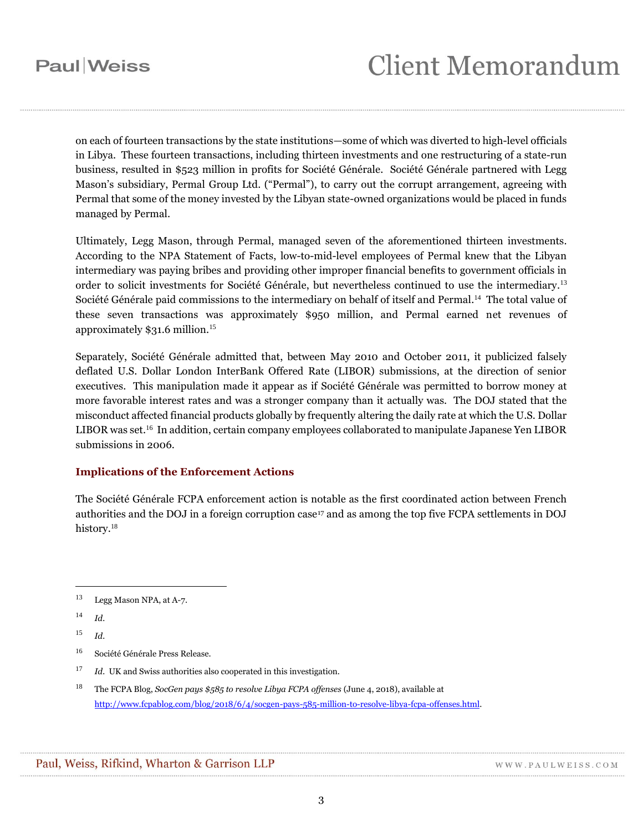on each of fourteen transactions by the state institutions—some of which was diverted to high-level officials in Libya. These fourteen transactions, including thirteen investments and one restructuring of a state-run business, resulted in \$523 million in profits for Société Générale. Société Générale partnered with Legg Mason's subsidiary, Permal Group Ltd. ("Permal"), to carry out the corrupt arrangement, agreeing with Permal that some of the money invested by the Libyan state-owned organizations would be placed in funds managed by Permal.

Ultimately, Legg Mason, through Permal, managed seven of the aforementioned thirteen investments. According to the NPA Statement of Facts, low-to-mid-level employees of Permal knew that the Libyan intermediary was paying bribes and providing other improper financial benefits to government officials in order to solicit investments for Société Générale, but nevertheless continued to use the intermediary.<sup>13</sup> Société Générale paid commissions to the intermediary on behalf of itself and Permal. 14 The total value of these seven transactions was approximately \$950 million, and Permal earned net revenues of approximately \$31.6 million.<sup>15</sup>

Separately, Société Générale admitted that, between May 2010 and October 2011, it publicized falsely deflated U.S. Dollar London InterBank Offered Rate (LIBOR) submissions, at the direction of senior executives. This manipulation made it appear as if Société Générale was permitted to borrow money at more favorable interest rates and was a stronger company than it actually was. The DOJ stated that the misconduct affected financial products globally by frequently altering the daily rate at which the U.S. Dollar LIBOR was set.<sup>16</sup> In addition, certain company employees collaborated to manipulate Japanese Yen LIBOR submissions in 2006.

#### **Implications of the Enforcement Actions**

The Société Générale FCPA enforcement action is notable as the first coordinated action between French authorities and the DOJ in a foreign corruption case<sup>17</sup> and as among the top five FCPA settlements in DOJ history.<sup>18</sup>

<sup>14</sup> *Id.*

 $\overline{a}$ 

- <sup>17</sup> *Id.* UK and Swiss authorities also cooperated in this investigation.
- <sup>18</sup> The FCPA Blog, *SocGen pays \$585 to resolve Libya FCPA offenses* (June 4, 2018), available at [http://www.fcpablog.com/blog/2018/6/4/socgen-pays-585-million-to-resolve-libya-fcpa-offenses.html.](http://www.fcpablog.com/blog/2018/6/4/socgen-pays-585-million-to-resolve-libya-fcpa-offenses.html)

<sup>13</sup> Legg Mason NPA, at A-7.

<sup>15</sup> *Id.*

<sup>16</sup> Société Générale Press Release.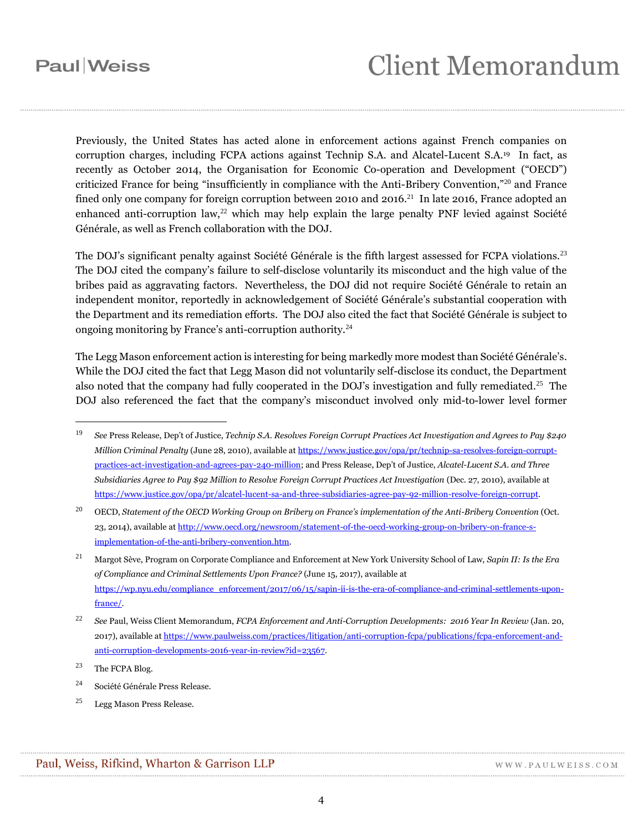Previously, the United States has acted alone in enforcement actions against French companies on corruption charges, including FCPA actions against Technip S.A. and Alcatel-Lucent S.A.19 In fact, as recently as October 2014, the Organisation for Economic Co-operation and Development ("OECD") criticized France for being "insufficiently in compliance with the Anti-Bribery Convention,"<sup>20</sup> and France fined only one company for foreign corruption between 2010 and 2016.<sup>21</sup> In late 2016, France adopted an enhanced anti-corruption law,<sup>22</sup> which may help explain the large penalty PNF levied against Société Générale, as well as French collaboration with the DOJ.

The DOJ's significant penalty against Société Générale is the fifth largest assessed for FCPA violations.<sup>23</sup> The DOJ cited the company's failure to self-disclose voluntarily its misconduct and the high value of the bribes paid as aggravating factors. Nevertheless, the DOJ did not require Société Générale to retain an independent monitor, reportedly in acknowledgement of Société Générale's substantial cooperation with the Department and its remediation efforts. The DOJ also cited the fact that Société Générale is subject to ongoing monitoring by France's anti-corruption authority.<sup>24</sup>

The Legg Mason enforcement action is interesting for being markedly more modest than Société Générale's. While the DOJ cited the fact that Legg Mason did not voluntarily self-disclose its conduct, the Department also noted that the company had fully cooperated in the DOJ's investigation and fully remediated.<sup>25</sup> The DOJ also referenced the fact that the company's misconduct involved only mid-to-lower level former

 $23$  The FCPA Blog.

 $\overline{a}$ 

<sup>19</sup> *See* Press Release, Dep't of Justice, *Technip S.A. Resolves Foreign Corrupt Practices Act Investigation and Agrees to Pay \$240 Million Criminal Penalty* (June 28, 2010), available a[t https://www.justice.gov/opa/pr/technip-sa-resolves-foreign-corrupt](https://www.justice.gov/opa/pr/technip-sa-resolves-foreign-corrupt-practices-act-investigation-and-agrees-pay-240-million)[practices-act-investigation-and-agrees-pay-240-million](https://www.justice.gov/opa/pr/technip-sa-resolves-foreign-corrupt-practices-act-investigation-and-agrees-pay-240-million); and Press Release, Dep't of Justice, *Alcatel-Lucent S.A. and Three Subsidiaries Agree to Pay \$92 Million to Resolve Foreign Corrupt Practices Act Investigation (Dec. 27, 2010), available at* [https://www.justice.gov/opa/pr/alcatel-lucent-sa-and-three-subsidiaries-agree-pay-92-million-resolve-foreign-corrupt.](https://www.justice.gov/opa/pr/alcatel-lucent-sa-and-three-subsidiaries-agree-pay-92-million-resolve-foreign-corrupt)

<sup>20</sup> OECD, *Statement of the OECD Working Group on Bribery on France's implementation of the Anti-Bribery Convention* (Oct. 23, 2014), available a[t http://www.oecd.org/newsroom/statement-of-the-oecd-working-group-on-bribery-on-france-s](http://www.oecd.org/newsroom/statement-of-the-oecd-working-group-on-bribery-on-france-s-implementation-of-the-anti-bribery-convention.htm)[implementation-of-the-anti-bribery-convention.htm.](http://www.oecd.org/newsroom/statement-of-the-oecd-working-group-on-bribery-on-france-s-implementation-of-the-anti-bribery-convention.htm)

<sup>21</sup> Margot Sève, Program on Corporate Compliance and Enforcement at New York University School of Law, *Sapin II: Is the Era of Compliance and Criminal Settlements Upon France?* (June 15, 2017), available at [https://wp.nyu.edu/compliance\\_enforcement/2017/06/15/sapin-ii-is-the-era-of-compliance-and-criminal-settlements-upon](https://wp.nyu.edu/compliance_enforcement/2017/06/15/sapin-ii-is-the-era-of-compliance-and-criminal-settlements-upon-france/)[france/.](https://wp.nyu.edu/compliance_enforcement/2017/06/15/sapin-ii-is-the-era-of-compliance-and-criminal-settlements-upon-france/)

<sup>22</sup> *See* Paul, Weiss Client Memorandum, *FCPA Enforcement and Anti-Corruption Developments: 2016 Year In Review* (Jan. 20, 2017), available a[t https://www.paulweiss.com/practices/litigation/anti-corruption-fcpa/publications/fcpa-enforcement-and](https://www.paulweiss.com/practices/litigation/anti-corruption-fcpa/publications/fcpa-enforcement-and-anti-corruption-developments-2016-year-in-review?id=23567)[anti-corruption-developments-2016-year-in-review?id=23567.](https://www.paulweiss.com/practices/litigation/anti-corruption-fcpa/publications/fcpa-enforcement-and-anti-corruption-developments-2016-year-in-review?id=23567) 

<sup>24</sup> Société Générale Press Release.

<sup>25</sup> Legg Mason Press Release.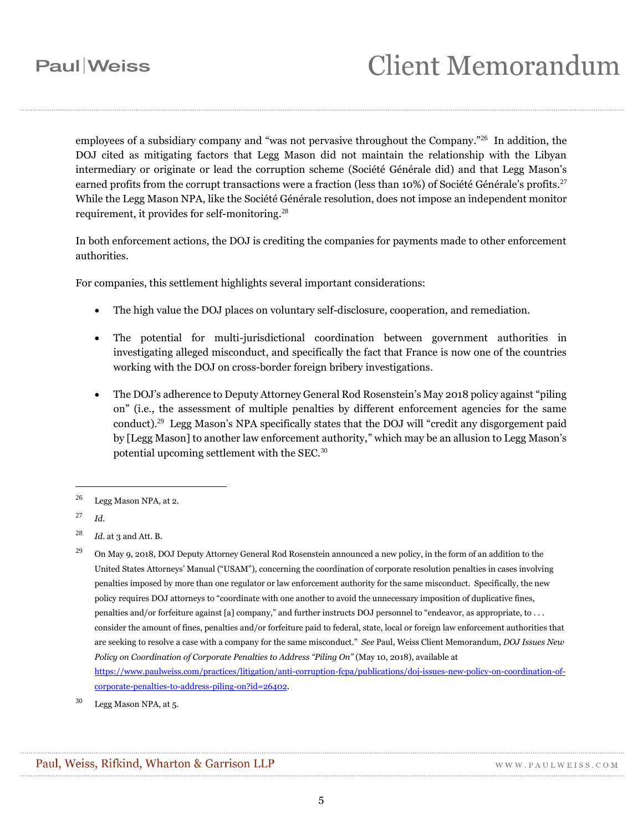employees of a subsidiary company and "was not pervasive throughout the Company."<sup>26</sup> In addition, the DOJ cited as mitigating factors that Legg Mason did not maintain the relationship with the Libyan intermediary or originate or lead the corruption scheme (Société Générale did) and that Legg Mason's earned profits from the corrupt transactions were a fraction (less than 10%) of Société Générale's profits.<sup>27</sup> While the Legg Mason NPA, like the Société Générale resolution, does not impose an independent monitor requirement, it provides for self-monitoring. 28

In both enforcement actions, the DOJ is crediting the companies for payments made to other enforcement authorities.

For companies, this settlement highlights several important considerations:

- The high value the DOJ places on voluntary self-disclosure, cooperation, and remediation.
- The potential for multi-jurisdictional coordination between government authorities in investigating alleged misconduct, and specifically the fact that France is now one of the countries working with the DOJ on cross-border foreign bribery investigations.
- The DOJ's adherence to Deputy Attorney General Rod Rosenstein's May 2018 policy against "piling on" (i.e., the assessment of multiple penalties by different enforcement agencies for the same conduct).<sup>29</sup> Legg Mason's NPA specifically states that the DOJ will "credit any disgorgement paid by [Legg Mason] to another law enforcement authority," which may be an allusion to Legg Mason's potential upcoming settlement with the SEC.<sup>30</sup>

 $\overline{a}$ 

<sup>26</sup> Legg Mason NPA, at 2*.*

<sup>27</sup> *Id.*

<sup>28</sup> *Id.* at 3 and Att. B.

<sup>&</sup>lt;sup>29</sup> On May 9, 2018, DOJ Deputy Attorney General Rod Rosenstein announced a new policy, in the form of an addition to the United States Attorneys' Manual ("USAM"), concerning the coordination of corporate resolution penalties in cases involving penalties imposed by more than one regulator or law enforcement authority for the same misconduct. Specifically, the new policy requires DOJ attorneys to "coordinate with one another to avoid the unnecessary imposition of duplicative fines, penalties and/or forfeiture against [a] company," and further instructs DOJ personnel to "endeavor, as appropriate, to . . . consider the amount of fines, penalties and/or forfeiture paid to federal, state, local or foreign law enforcement authorities that are seeking to resolve a case with a company for the same misconduct." *See* Paul, Weiss Client Memorandum, *DOJ Issues New Policy on Coordination of Corporate Penalties to Address "Piling On"* (May 10, 2018), available at [https://www.paulweiss.com/practices/litigation/anti-corruption-fcpa/publications/doj-issues-new-policy-on-coordination-of](https://www.paulweiss.com/practices/litigation/anti-corruption-fcpa/publications/doj-issues-new-policy-on-coordination-of-corporate-penalties-to-address-piling-on?id=26402)[corporate-penalties-to-address-piling-on?id=26402.](https://www.paulweiss.com/practices/litigation/anti-corruption-fcpa/publications/doj-issues-new-policy-on-coordination-of-corporate-penalties-to-address-piling-on?id=26402) 

<sup>30</sup> Legg Mason NPA, at 5.